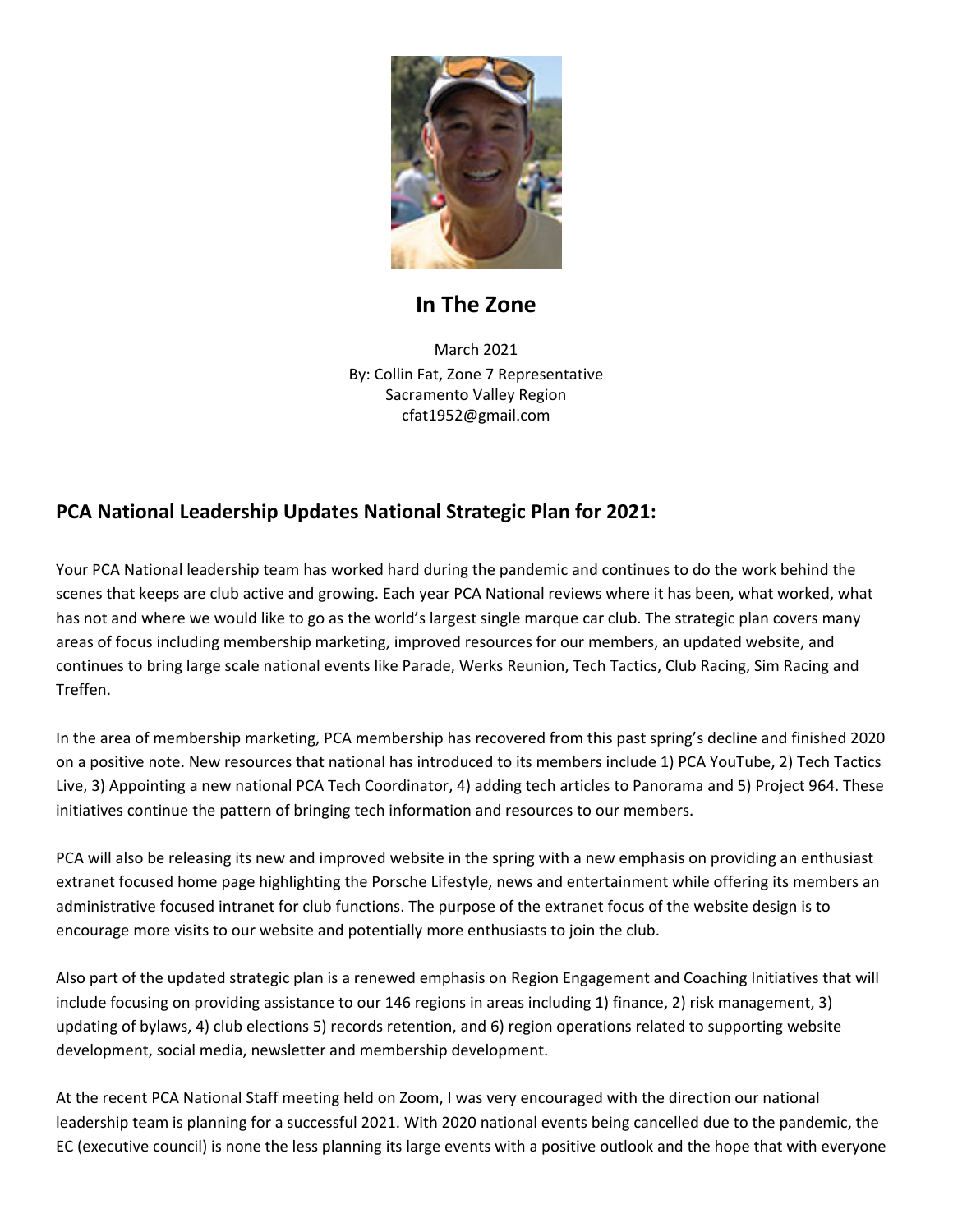

#### **In The Zone**

March 2021 By: Collin Fat, Zone 7 Representative Sacramento Valley Region cfat1952@gmail.com

#### **PCA National Leadership Updates National Strategic Plan for 2021:**

Your PCA National leadership team has worked hard during the pandemic and continues to do the work behind the scenes that keeps are club active and growing. Each year PCA National reviews where it has been, what worked, what has not and where we would like to go as the world's largest single marque car club. The strategic plan covers many areas of focus including membership marketing, improved resources for our members, an updated website, and continues to bring large scale national events like Parade, Werks Reunion, Tech Tactics, Club Racing, Sim Racing and Treffen.

In the area of membership marketing, PCA membership has recovered from this past spring's decline and finished 2020 on a positive note. New resources that national has introduced to its members include 1) PCA YouTube, 2) Tech Tactics Live, 3) Appointing a new national PCA Tech Coordinator, 4) adding tech articles to Panorama and 5) Project 964. These initiatives continue the pattern of bringing tech information and resources to our members.

PCA will also be releasing its new and improved website in the spring with a new emphasis on providing an enthusiast extranet focused home page highlighting the Porsche Lifestyle, news and entertainment while offering its members an administrative focused intranet for club functions. The purpose of the extranet focus of the website design is to encourage more visits to our website and potentially more enthusiasts to join the club.

Also part of the updated strategic plan is a renewed emphasis on Region Engagement and Coaching Initiatives that will include focusing on providing assistance to our 146 regions in areas including 1) finance, 2) risk management, 3) updating of bylaws, 4) club elections 5) records retention, and 6) region operations related to supporting website development, social media, newsletter and membership development.

At the recent PCA National Staff meeting held on Zoom, I was very encouraged with the direction our national leadership team is planning for a successful 2021. With 2020 national events being cancelled due to the pandemic, the EC (executive council) is none the less planning its large events with a positive outlook and the hope that with everyone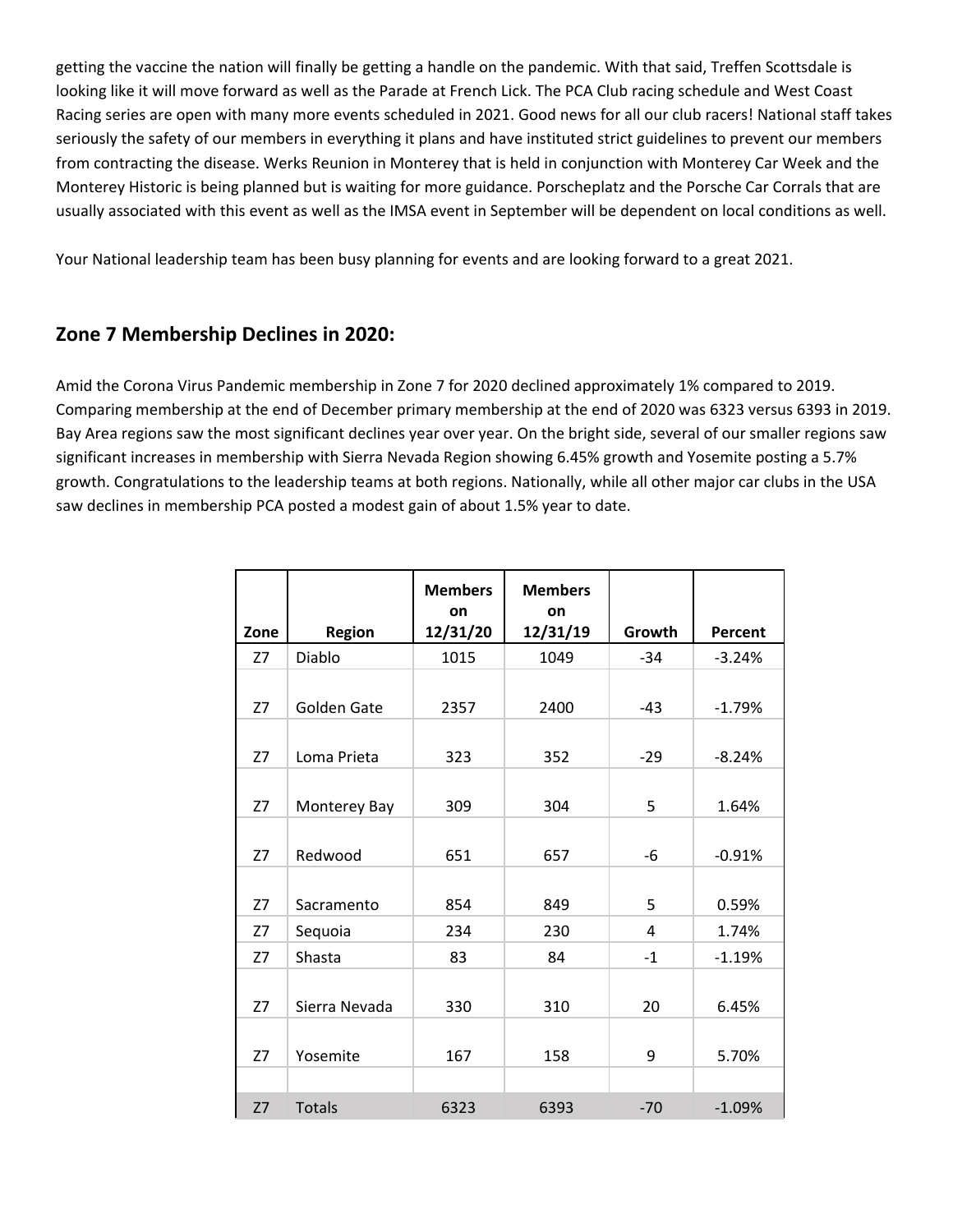getting the vaccine the nation will finally be getting a handle on the pandemic. With that said, Treffen Scottsdale is looking like it will move forward as well as the Parade at French Lick. The PCA Club racing schedule and West Coast Racing series are open with many more events scheduled in 2021. Good news for all our club racers! National staff takes seriously the safety of our members in everything it plans and have instituted strict guidelines to prevent our members from contracting the disease. Werks Reunion in Monterey that is held in conjunction with Monterey Car Week and the Monterey Historic is being planned but is waiting for more guidance. Porscheplatz and the Porsche Car Corrals that are usually associated with this event as well as the IMSA event in September will be dependent on local conditions as well.

Your National leadership team has been busy planning for events and are looking forward to a great 2021.

#### **Zone 7 Membership Declines in 2020:**

Amid the Corona Virus Pandemic membership in Zone 7 for 2020 declined approximately 1% compared to 2019. Comparing membership at the end of December primary membership at the end of 2020 was 6323 versus 6393 in 2019. Bay Area regions saw the most significant declines year over year. On the bright side, several of our smaller regions saw significant increases in membership with Sierra Nevada Region showing 6.45% growth and Yosemite posting a 5.7% growth. Congratulations to the leadership teams at both regions. Nationally, while all other major car clubs in the USA saw declines in membership PCA posted a modest gain of about 1.5% year to date.

|      |               | <b>Members</b><br>on | <b>Members</b><br>on |        |          |
|------|---------------|----------------------|----------------------|--------|----------|
| Zone | Region        | 12/31/20             | 12/31/19             | Growth | Percent  |
| Z7   | Diablo        | 1015                 | 1049                 | $-34$  | $-3.24%$ |
| Z7   | Golden Gate   | 2357                 | 2400                 | $-43$  | $-1.79%$ |
| Z7   | Loma Prieta   | 323                  | 352                  | $-29$  | $-8.24%$ |
| Z7   | Monterey Bay  | 309                  | 304                  | 5      | 1.64%    |
| Z7   | Redwood       | 651                  | 657                  | $-6$   | $-0.91%$ |
| Z7   | Sacramento    | 854                  | 849                  | 5      | 0.59%    |
| Z7   | Sequoia       | 234                  | 230                  | 4      | 1.74%    |
| Z7   | Shasta        | 83                   | 84                   | $-1$   | $-1.19%$ |
| Z7   | Sierra Nevada | 330                  | 310                  | 20     | 6.45%    |
| Z7   | Yosemite      | 167                  | 158                  | 9      | 5.70%    |
|      |               |                      |                      |        |          |
| Z7   | <b>Totals</b> | 6323                 | 6393                 | $-70$  | $-1.09%$ |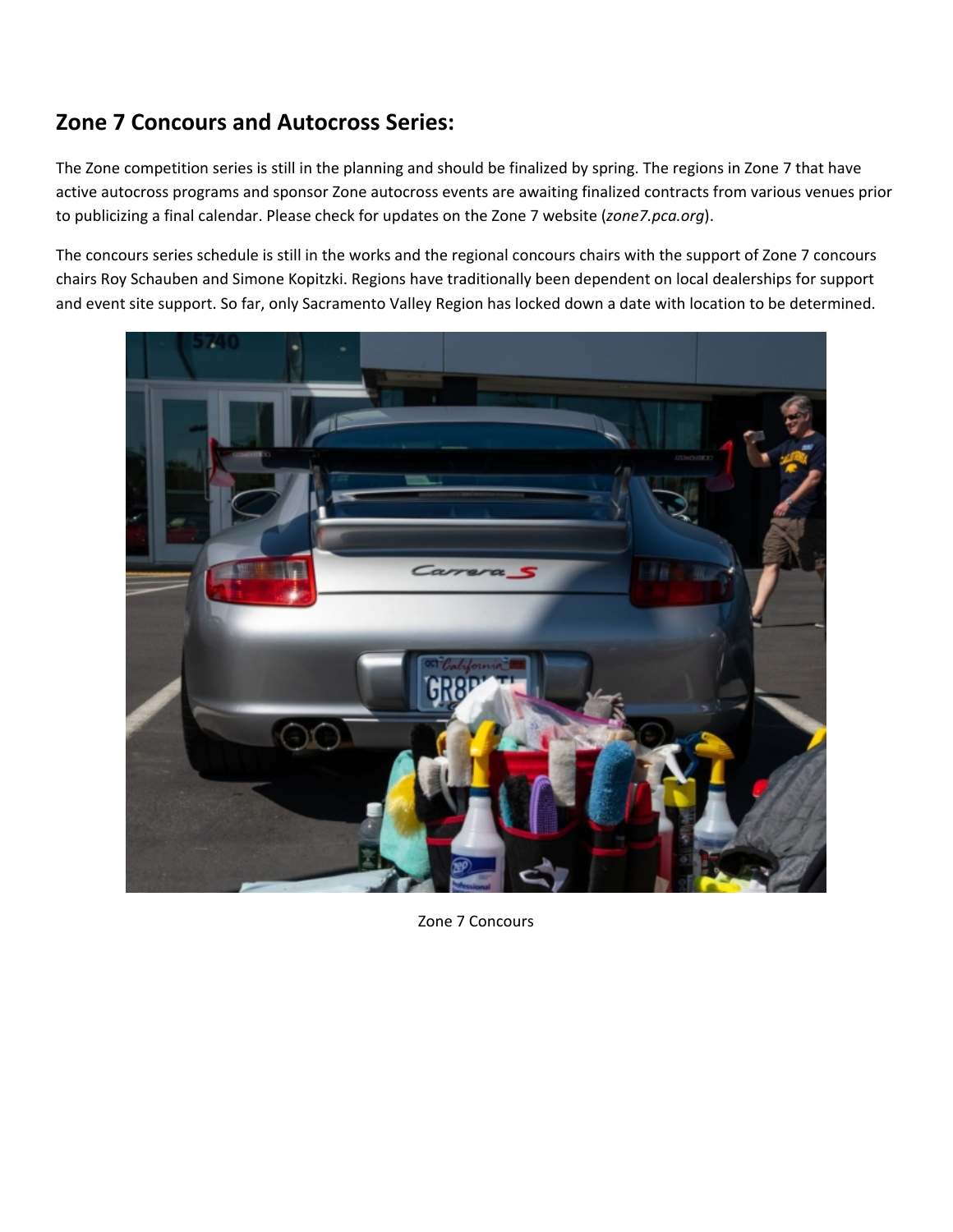## **Zone 7 Concours and Autocross Series:**

The Zone competition series is still in the planning and should be finalized by spring. The regions in Zone 7 that have active autocross programs and sponsor Zone autocross events are awaiting finalized contracts from various venues prior to publicizing a final calendar. Please check for updates on the Zone 7 website (*zone7.pca.org*).

The concours series schedule is still in the works and the regional concours chairs with the support of Zone 7 concours chairs Roy Schauben and Simone Kopitzki. Regions have traditionally been dependent on local dealerships for support and event site support. So far, only Sacramento Valley Region has locked down a date with location to be determined.



Zone 7 Concours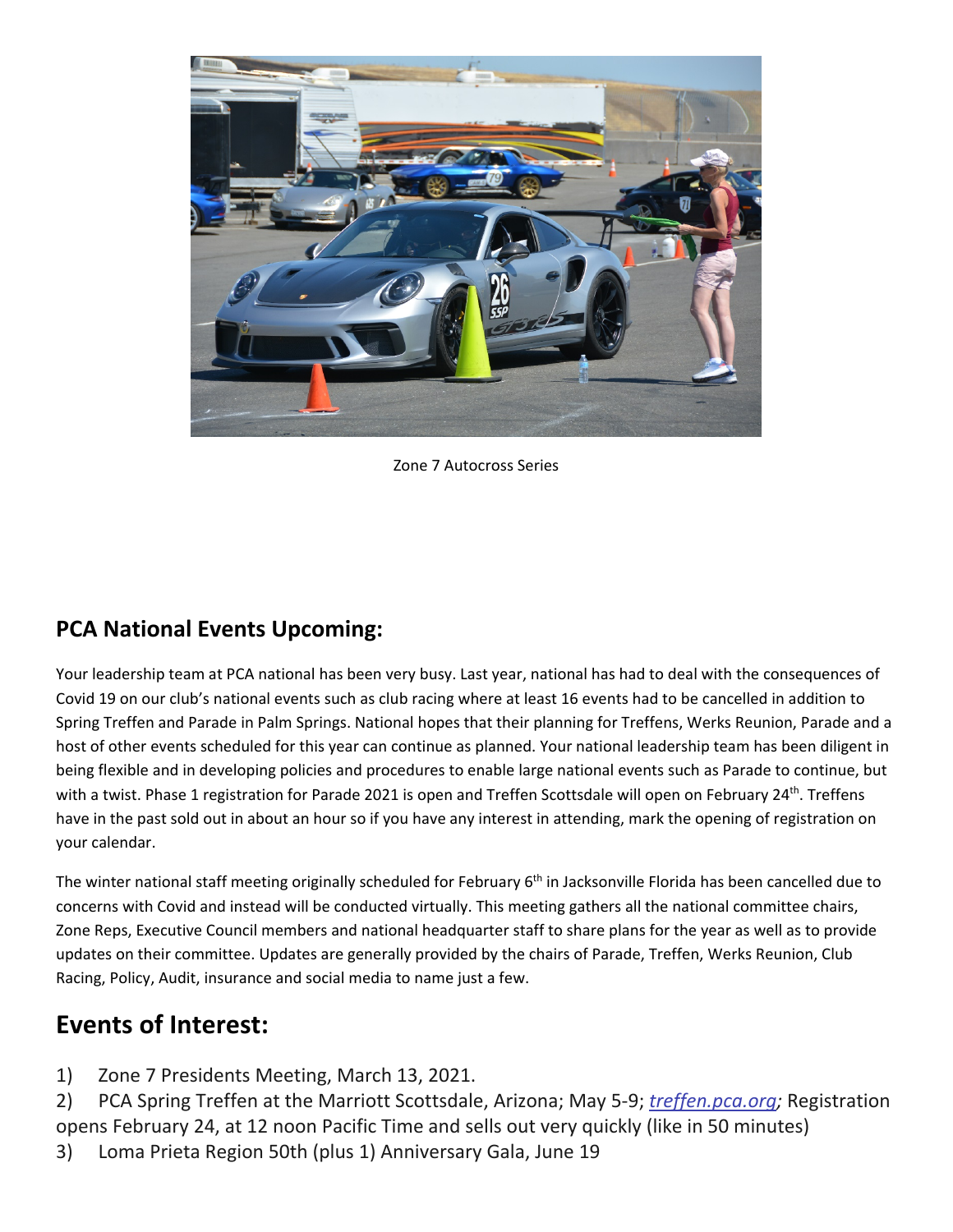

Zone 7 Autocross Series

### **PCA National Events Upcoming:**

Your leadership team at PCA national has been very busy. Last year, national has had to deal with the consequences of Covid 19 on our club's national events such as club racing where at least 16 events had to be cancelled in addition to Spring Treffen and Parade in Palm Springs. National hopes that their planning for Treffens, Werks Reunion, Parade and a host of other events scheduled for this year can continue as planned. Your national leadership team has been diligent in being flexible and in developing policies and procedures to enable large national events such as Parade to continue, but with a twist. Phase 1 registration for Parade 2021 is open and Treffen Scottsdale will open on February 24<sup>th</sup>. Treffens have in the past sold out in about an hour so if you have any interest in attending, mark the opening of registration on your calendar.

The winter national staff meeting originally scheduled for February  $6<sup>th</sup>$  in Jacksonville Florida has been cancelled due to concerns with Covid and instead will be conducted virtually. This meeting gathers all the national committee chairs, Zone Reps, Executive Council members and national headquarter staff to share plans for the year as well as to provide updates on their committee. Updates are generally provided by the chairs of Parade, Treffen, Werks Reunion, Club Racing, Policy, Audit, insurance and social media to name just a few.

## **Events of Interest:**

1) Zone 7 Presidents Meeting, March 13, 2021.

2) PCA Spring Treffen at the Marriott Scottsdale, Arizona; May 5‐9; *treffen.pca.org;* Registration opens February 24, at 12 noon Pacific Time and sells out very quickly (like in 50 minutes)

3) Loma Prieta Region 50th (plus 1) Anniversary Gala, June 19